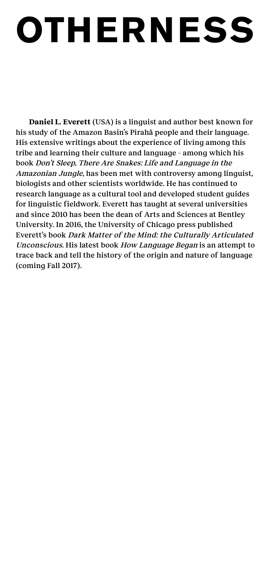## **OTHERNESS**

**Daniel L. Everett** (USA) is a linguist and author best known for his study of the Amazon Basin's Pirahã people and their language. His extensive writings about the experience of living among this tribe and learning their culture and language – among which his book Don't Sleep, There Are Snakes: Life and Language in the Amazonian Jungle, has been met with controversy among linguist, biologists and other scientists worldwide. He has continued to research language as a cultural tool and developed student guides for linguistic fieldwork. Everett has taught at several universities and since 2010 has been the dean of Arts and Sciences at Bentley University. In 2016, the University of Chicago press published Everett's book Dark Matter of the Mind: the Culturally Articulated Unconscious. His latest book How Language Began is an attempt to trace back and tell the history of the origin and nature of language (coming Fall 2017).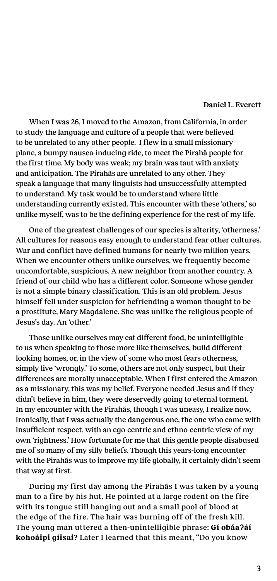## **Daniel L. Everett**

When I was 26, I moved to the Amazon, from California, in order to study the language and culture of a people that were believed to be unrelated to any other people. I flew in a small missionary plane, a bumpy nausea-inducing ride, to meet the Pirahã people for the first time. My body was weak; my brain was taut with anxiety and anticipation. The Pirahãs are unrelated to any other. They speak a language that many linguists had unsuccessfully attempted to understand. My task would be to understand where little understanding currently existed. This encounter with these 'others,' so unlike myself, was to be the defining experience for the rest of my life.

One of the greatest challenges of our species is alterity, 'otherness.' All cultures for reasons easy enough to understand fear other cultures. War and conflict have defined humans for nearly two million years. When we encounter others unlike ourselves, we frequently become uncomfortable, suspicious. A new neighbor from another country. A friend of our child who has a different color. Someone whose gender is not a simple binary classification. This is an old problem. Jesus himself fell under suspicion for befriending a woman thought to be a prostitute, Mary Magdalene. She was unlike the religious people of Jesus's day. An 'other.'

Those unlike ourselves may eat different food, be unintelligible to us when speaking to those more like themselves, build differentlooking homes, or, in the view of some who most fears otherness, simply live 'wrongly.' To some, others are not only suspect, but their differences are morally unacceptable. When I first entered the Amazon as a missionary, this was my belief. Everyone needed Jesus and if they didn't believe in him, they were deservedly going to eternal torment. In my encounter with the Pirahãs, though I was uneasy, I realize now, ironically, that I was actually the dangerous one, the one who came with insufficient respect, with an ego-centric and ethno-centric view of my own 'rightness.' How fortunate for me that this gentle people disabused me of so many of my silly beliefs. Though this years-long encounter with the Pirahãs was to improve my life globally, it certainly didn't seem that way at first.

During my first day among the Pirahãs I was taken by a young man to a fire by his hut. He pointed at a large rodent on the fire with its tongue still hanging out and a small pool of blood at the edge of the fire. The hair was burning off of the fresh kill. The young man uttered a then-unintelligible phrase: **Gí obáaʔáí kohoáipi gíisai?** Later I learned that this meant, "Do you know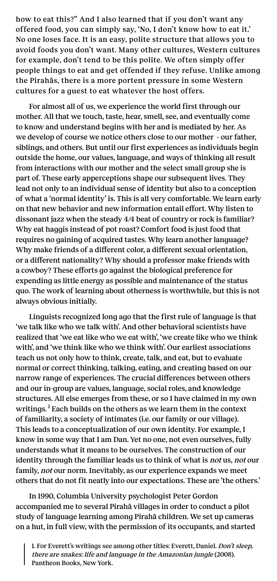how to eat this?" And I also learned that if you don't want any offered food, you can simply say, 'No, I don't know how to eat it.' No one loses face. It is an easy, polite structure that allows you to avoid foods you don't want. Many other cultures, Western cultures for example, don't tend to be this polite. We often simply offer people things to eat and get offended if they refuse. Unlike among the Pirahãs, there is a more portent pressure in some Western cultures for a guest to eat whatever the host offers.

For almost all of us, we experience the world first through our mother. All that we touch, taste, hear, smell, see, and eventually come to know and understand begins with her and is mediated by her. As we develop of course we notice others close to our mother - our father, siblings, and others. But until our first experiences as individuals begin outside the home, our values, language, and ways of thinking all result from interactions with our mother and the select small group she is part of. These early apperceptions shape our subsequent lives. They lead not only to an individual sense of identity but also to a conception of what a 'normal identity' is. This is all very comfortable. We learn early on that new behavior and new information entail effort. Why listen to dissonant jazz when the steady 4/4 beat of country or rock is familiar? Why eat haggis instead of pot roast? Comfort food is just food that requires no gaining of acquired tastes. Why learn another language? Why make friends of a different color, a different sexual orientation, or a different nationality? Why should a professor make friends with a cowboy? These efforts go against the biological preference for expending as little energy as possible and maintenance of the status quo. The work of learning about otherness is worthwhile, but this is not always obvious initially.

Linguists recognized long ago that the first rule of language is that 'we talk like who we talk with'. And other behavioral scientists have realized that 'we eat like who we eat with', 'we create like who we think with', and 'we think like who we think with'. Our earliest associations teach us not only how to think, create, talk, and eat, but to evaluate normal or correct thinking, talking, eating, and creating based on our narrow range of experiences. The crucial differences between others and our in-group are values, language, social roles, and knowledge structures. All else emerges from these, or so I have claimed in my own writings. $<sup>1</sup>$  Each builds on the others as we learn them in the context</sup> of familiarity, a society of intimates (i.e. our family or our village). This leads to a conceptualization of our own identity. For example, I know in some way that I am Dan. Yet no one, not even ourselves, fully understands what it means to be ourselves. The construction of our identity through the familiar leads us to think of what is not us, not our family, *not* our norm. Inevitably, as our experience expands we meet others that do not fit neatly into our expectations. These are 'the others.'

In 1990, Columbia University psychologist Peter Gordon accompanied me to several Pirahã villages in order to conduct a pilot study of language learning among Pirahã children. We set up cameras on a hut, in full view, with the permission of its occupants, and started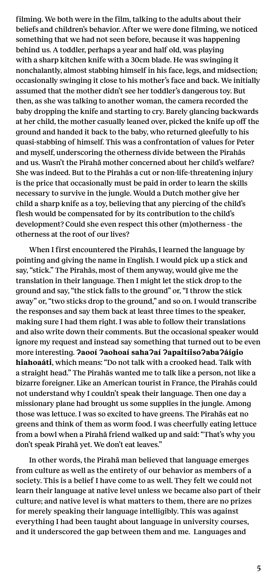filming. We both were in the film, talking to the adults about their beliefs and children's behavior. After we were done filming, we noticed something that we had not seen before, because it was happening behind us. A toddler, perhaps a year and half old, was playing with a sharp kitchen knife with a 30cm blade. He was swinging it nonchalantly, almost stabbing himself in his face, legs, and midsection; occasionally swinging it close to his mother's face and back. We initially assumed that the mother didn't see her toddler's dangerous toy. But then, as she was talking to another woman, the camera recorded the baby dropping the knife and starting to cry. Barely glancing backwards at her child, the mother casually leaned over, picked the knife up off the ground and handed it back to the baby, who returned gleefully to his quasi-stabbing of himself. This was a confrontation of values for Peter and myself, underscoring the otherness divide between the Pirahãs and us. Wasn't the Pirahã mother concerned about her child's welfare? She was indeed. But to the Pirahãs a cut or non-life-threatening injury is the price that occasionally must be paid in order to learn the skills necessary to survive in the jungle. Would a Dutch mother give her child a sharp knife as a toy, believing that any piercing of the child's flesh would be compensated for by its contribution to the child's development? Could she even respect this other (m)otherness - the otherness at the root of our lives?

When I first encountered the Pirahãs, I learned the language by pointing and giving the name in English. I would pick up a stick and say, "stick." The Pirahãs, most of them anyway, would give me the translation in their language. Then I might let the stick drop to the ground and say, "the stick falls to the ground" or, "I throw the stick away" or, "two sticks drop to the ground," and so on. I would transcribe the responses and say them back at least three times to the speaker, making sure I had them right. I was able to follow their translations and also write down their comments. But the occasional speaker would ignore my request and instead say something that turned out to be even more interesting. **Ɂaooí Ɂaohoaí sahaɁaí ɁapaitíisoɁabaɁáígio hiahoaáti**, which means: "Do not talk with a crooked head. Talk with a straight head." The Pirahãs wanted me to talk like a person, not like a bizarre foreigner. Like an American tourist in France, the Pirahãs could not understand why I couldn't speak their language. Then one day a missionary plane had brought us some supplies in the jungle. Among those was lettuce. I was so excited to have greens. The Pirahãs eat no greens and think of them as worm food. I was cheerfully eating lettuce from a bowl when a Pirahã friend walked up and said: "That's why you don't speak Pirahã yet. We don't eat leaves."

In other words, the Pirahã man believed that language emerges from culture as well as the entirety of our behavior as members of a society. This is a belief I have come to as well. They felt we could not learn their language at native level unless we became also part of their culture; and native level is what matters to them, there are no prizes for merely speaking their language intelligibly. This was against everything I had been taught about language in university courses, and it underscored the gap between them and me. Languages and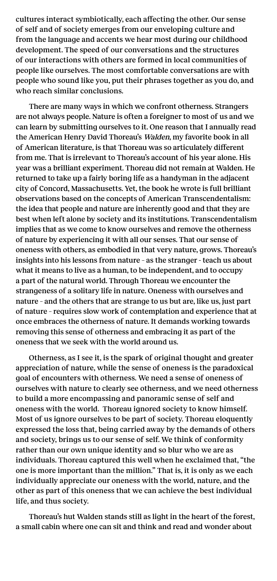cultures interact symbiotically, each affecting the other. Our sense of self and of society emerges from our enveloping culture and from the language and accents we hear most during our childhood development. The speed of our conversations and the structures of our interactions with others are formed in local communities of people like ourselves. The most comfortable conversations are with people who sound like you, put their phrases together as you do, and who reach similar conclusions.

There are many ways in which we confront otherness. Strangers are not always people. Nature is often a foreigner to most of us and we can learn by submitting ourselves to it. One reason that I annually read the American Henry David Thoreau's Walden, my favorite book in all of American literature, is that Thoreau was so articulately different from me. That is irrelevant to Thoreau's account of his year alone. His year was a brilliant experiment. Thoreau did not remain at Walden. He returned to take up a fairly boring life as a handyman in the adjacent city of Concord, Massachusetts. Yet, the book he wrote is full brilliant observations based on the concepts of American Transcendentalism: the idea that people and nature are inherently good and that they are best when left alone by society and its institutions. Transcendentalism implies that as we come to know ourselves and remove the otherness of nature by experiencing it with all our senses. That our sense of oneness with others, as embodied in that very nature, grows. Thoreau's insights into his lessons from nature – as the stranger - teach us about what it means to live as a human, to be independent, and to occupy a part of the natural world. Through Thoreau we encounter the strangeness of a solitary life in nature. Oneness with ourselves and nature – and the others that are strange to us but are, like us, just part of nature – requires slow work of contemplation and experience that at once embraces the otherness of nature. It demands working towards removing this sense of otherness and embracing it as part of the oneness that we seek with the world around us.

Otherness, as I see it, is the spark of original thought and greater appreciation of nature, while the sense of oneness is the paradoxical goal of encounters with otherness. We need a sense of oneness of ourselves with nature to clearly see otherness, and we need otherness to build a more encompassing and panoramic sense of self and oneness with the world. Thoreau ignored society to know himself. Most of us ignore ourselves to be part of society. Thoreau eloquently expressed the loss that, being carried away by the demands of others and society, brings us to our sense of self. We think of conformity rather than our own unique identity and so blur who we are as individuals. Thoreau captured this well when he exclaimed that, "the one is more important than the million." That is, it is only as we each individually appreciate our oneness with the world, nature, and the other as part of this oneness that we can achieve the best individual life, and thus society.

Thoreau's hut Walden stands still as light in the heart of the forest, a small cabin where one can sit and think and read and wonder about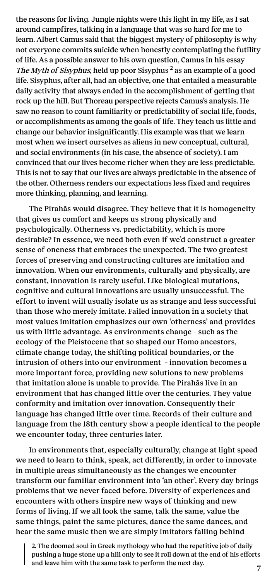the reasons for living. Jungle nights were this light in my life, as I sat around campfires, talking in a language that was so hard for me to learn. Albert Camus said that the biggest mystery of philosophy is why not everyone commits suicide when honestly contemplating the futility of life. As a possible answer to his own question, Camus in his essay The Myth of Sisyphus, held up poor Sisyphus<sup>2</sup> as an example of a good life. Sisyphus, after all, had an objective, one that entailed a measurable daily activity that always ended in the accomplishment of getting that rock up the hill. But Thoreau perspective rejects Camus's analysis. He saw no reason to count familiarity or predictability of social life, foods, or accomplishments as among the goals of life. They teach us little and change our behavior insignificantly. His example was that we learn most when we insert ourselves as aliens in new conceptual, cultural, and social environments (in his case, the absence of society). I am convinced that our lives become richer when they are less predictable. This is not to say that our lives are always predictable in the absence of the other. Otherness renders our expectations less fixed and requires more thinking, planning, and learning.

The Pirahãs would disagree. They believe that it is homogeneity that gives us comfort and keeps us strong physically and psychologically. Otherness vs. predictability, which is more desirable? In essence, we need both even if we'd construct a greater sense of oneness that embraces the unexpected. The two greatest forces of preserving and constructing cultures are imitation and innovation. When our environments, culturally and physically, are constant, innovation is rarely useful. Like biological mutations, cognitive and cultural innovations are usually unsuccessful. The effort to invent will usually isolate us as strange and less successful than those who merely imitate. Failed innovation in a society that most values imitation emphasizes our own 'otherness' and provides us with little advantage. As environments change – such as the ecology of the Pleistocene that so shaped our Homo ancestors, climate change today, the shifting political boundaries, or the intrusion of others into our environment – innovation becomes a more important force, providing new solutions to new problems that imitation alone is unable to provide. The Pirahãs live in an environment that has changed little over the centuries. They value conformity and imitation over innovation. Consequently their language has changed little over time. Records of their culture and language from the 18th century show a people identical to the people we encounter today, three centuries later.

In environments that, especially culturally, change at light speed we need to learn to think, speak, act differently, in order to innovate in multiple areas simultaneously as the changes we encounter transform our familiar environment into 'an other'. Every day brings problems that we never faced before. Diversity of experiences and encounters with others inspire new ways of thinking and new forms of living. If we all look the same, talk the same, value the same things, paint the same pictures, dance the same dances, and hear the same music then we are simply imitators falling behind

2. The doomed soul in Greek mythology who had the repetitive job of daily pushing a huge stone up a hill only to see it roll down at the end of his efforts and leave him with the same task to perform the next day.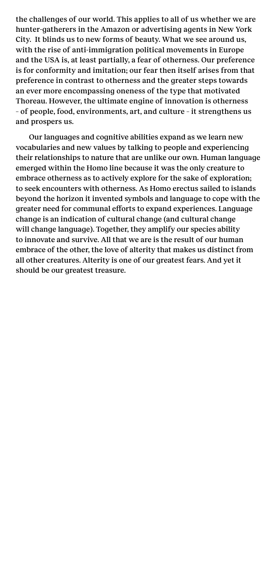the challenges of our world. This applies to all of us whether we are hunter-gatherers in the Amazon or advertising agents in New York City. It blinds us to new forms of beauty. What we see around us, with the rise of anti-immigration political movements in Europe and the USA is, at least partially, a fear of otherness. Our preference is for conformity and imitation; our fear then itself arises from that preference in contrast to otherness and the greater steps towards an ever more encompassing oneness of the type that motivated Thoreau. However, the ultimate engine of innovation is otherness – of people, food, environments, art, and culture – it strengthens us and prospers us.

Our languages and cognitive abilities expand as we learn new vocabularies and new values by talking to people and experiencing their relationships to nature that are unlike our own. Human language emerged within the Homo line because it was the only creature to embrace otherness as to actively explore for the sake of exploration; to seek encounters with otherness. As Homo erectus sailed to islands beyond the horizon it invented symbols and language to cope with the greater need for communal efforts to expand experiences. Language change is an indication of cultural change (and cultural change will change language). Together, they amplify our species ability to innovate and survive. All that we are is the result of our human embrace of the other, the love of alterity that makes us distinct from all other creatures. Alterity is one of our greatest fears. And yet it should be our greatest treasure.